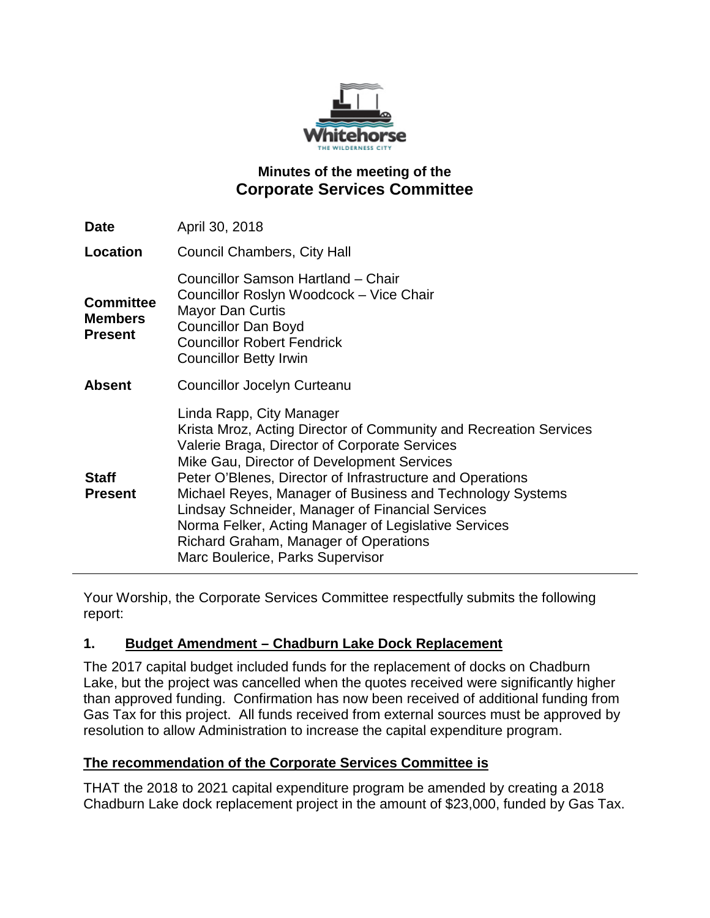

# **Minutes of the meeting of the Corporate Services Committee**

| Date                                                 | April 30, 2018                                                                                                                                                                                                                                                                                                                                                                                                                                                                                                  |
|------------------------------------------------------|-----------------------------------------------------------------------------------------------------------------------------------------------------------------------------------------------------------------------------------------------------------------------------------------------------------------------------------------------------------------------------------------------------------------------------------------------------------------------------------------------------------------|
| Location                                             | <b>Council Chambers, City Hall</b>                                                                                                                                                                                                                                                                                                                                                                                                                                                                              |
| <b>Committee</b><br><b>Members</b><br><b>Present</b> | Councillor Samson Hartland - Chair<br>Councillor Roslyn Woodcock - Vice Chair<br><b>Mayor Dan Curtis</b><br><b>Councillor Dan Boyd</b><br><b>Councillor Robert Fendrick</b><br><b>Councillor Betty Irwin</b>                                                                                                                                                                                                                                                                                                    |
| <b>Absent</b>                                        | Councillor Jocelyn Curteanu                                                                                                                                                                                                                                                                                                                                                                                                                                                                                     |
| <b>Staff</b><br><b>Present</b>                       | Linda Rapp, City Manager<br>Krista Mroz, Acting Director of Community and Recreation Services<br>Valerie Braga, Director of Corporate Services<br>Mike Gau, Director of Development Services<br>Peter O'Blenes, Director of Infrastructure and Operations<br>Michael Reyes, Manager of Business and Technology Systems<br>Lindsay Schneider, Manager of Financial Services<br>Norma Felker, Acting Manager of Legislative Services<br>Richard Graham, Manager of Operations<br>Marc Boulerice, Parks Supervisor |

Your Worship, the Corporate Services Committee respectfully submits the following report:

### **1. Budget Amendment – Chadburn Lake Dock Replacement**

The 2017 capital budget included funds for the replacement of docks on Chadburn Lake, but the project was cancelled when the quotes received were significantly higher than approved funding. Confirmation has now been received of additional funding from Gas Tax for this project. All funds received from external sources must be approved by resolution to allow Administration to increase the capital expenditure program.

### **The recommendation of the Corporate Services Committee is**

THAT the 2018 to 2021 capital expenditure program be amended by creating a 2018 Chadburn Lake dock replacement project in the amount of \$23,000, funded by Gas Tax.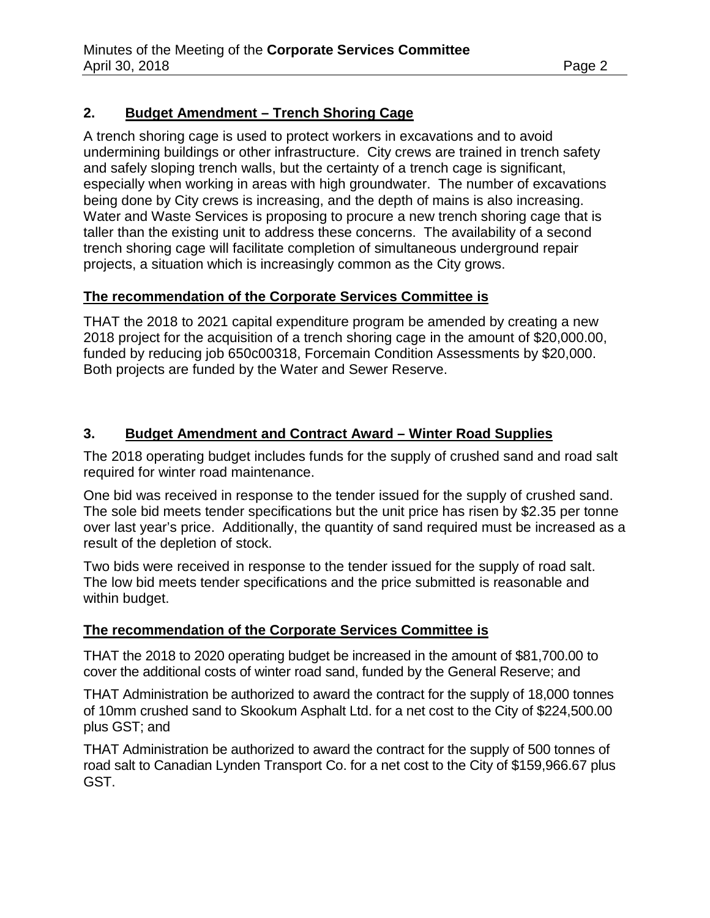# **2. Budget Amendment – Trench Shoring Cage**

A trench shoring cage is used to protect workers in excavations and to avoid undermining buildings or other infrastructure. City crews are trained in trench safety and safely sloping trench walls, but the certainty of a trench cage is significant, especially when working in areas with high groundwater. The number of excavations being done by City crews is increasing, and the depth of mains is also increasing. Water and Waste Services is proposing to procure a new trench shoring cage that is taller than the existing unit to address these concerns. The availability of a second trench shoring cage will facilitate completion of simultaneous underground repair projects, a situation which is increasingly common as the City grows.

### **The recommendation of the Corporate Services Committee is**

THAT the 2018 to 2021 capital expenditure program be amended by creating a new 2018 project for the acquisition of a trench shoring cage in the amount of \$20,000.00, funded by reducing job 650c00318, Forcemain Condition Assessments by \$20,000. Both projects are funded by the Water and Sewer Reserve.

# **3. Budget Amendment and Contract Award – Winter Road Supplies**

The 2018 operating budget includes funds for the supply of crushed sand and road salt required for winter road maintenance.

One bid was received in response to the tender issued for the supply of crushed sand. The sole bid meets tender specifications but the unit price has risen by \$2.35 per tonne over last year's price. Additionally, the quantity of sand required must be increased as a result of the depletion of stock.

Two bids were received in response to the tender issued for the supply of road salt. The low bid meets tender specifications and the price submitted is reasonable and within budget.

# **The recommendation of the Corporate Services Committee is**

THAT the 2018 to 2020 operating budget be increased in the amount of \$81,700.00 to cover the additional costs of winter road sand, funded by the General Reserve; and

THAT Administration be authorized to award the contract for the supply of 18,000 tonnes of 10mm crushed sand to Skookum Asphalt Ltd. for a net cost to the City of \$224,500.00 plus GST; and

THAT Administration be authorized to award the contract for the supply of 500 tonnes of road salt to Canadian Lynden Transport Co. for a net cost to the City of \$159,966.67 plus GST.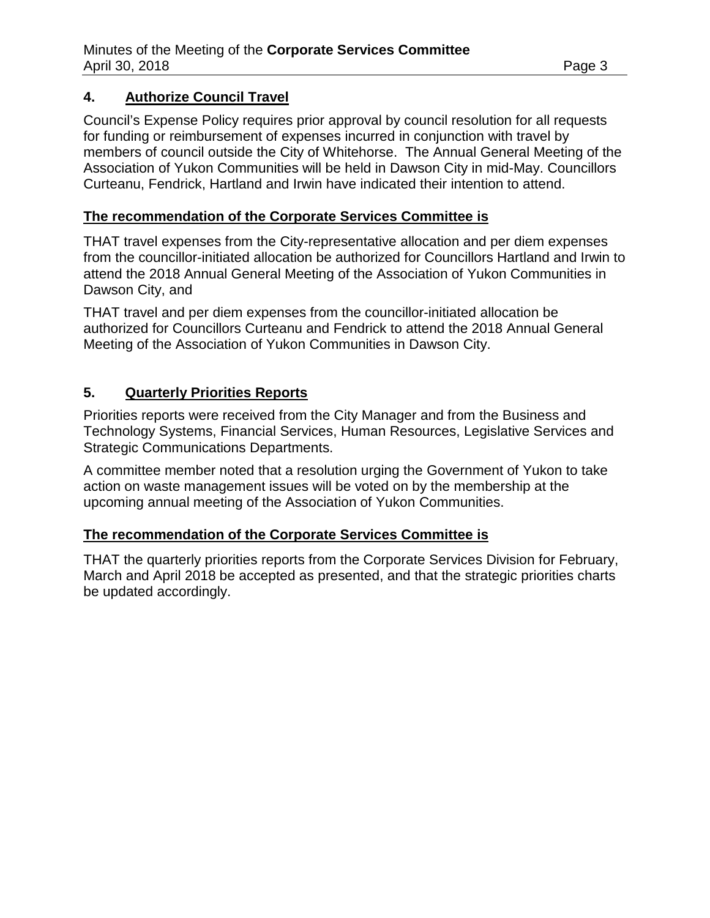## **4. Authorize Council Travel**

Council's Expense Policy requires prior approval by council resolution for all requests for funding or reimbursement of expenses incurred in conjunction with travel by members of council outside the City of Whitehorse. The Annual General Meeting of the Association of Yukon Communities will be held in Dawson City in mid-May. Councillors Curteanu, Fendrick, Hartland and Irwin have indicated their intention to attend.

### **The recommendation of the Corporate Services Committee is**

THAT travel expenses from the City-representative allocation and per diem expenses from the councillor-initiated allocation be authorized for Councillors Hartland and Irwin to attend the 2018 Annual General Meeting of the Association of Yukon Communities in Dawson City, and

THAT travel and per diem expenses from the councillor-initiated allocation be authorized for Councillors Curteanu and Fendrick to attend the 2018 Annual General Meeting of the Association of Yukon Communities in Dawson City.

### **5. Quarterly Priorities Reports**

Priorities reports were received from the City Manager and from the Business and Technology Systems, Financial Services, Human Resources, Legislative Services and Strategic Communications Departments.

A committee member noted that a resolution urging the Government of Yukon to take action on waste management issues will be voted on by the membership at the upcoming annual meeting of the Association of Yukon Communities.

### **The recommendation of the Corporate Services Committee is**

THAT the quarterly priorities reports from the Corporate Services Division for February, March and April 2018 be accepted as presented, and that the strategic priorities charts be updated accordingly.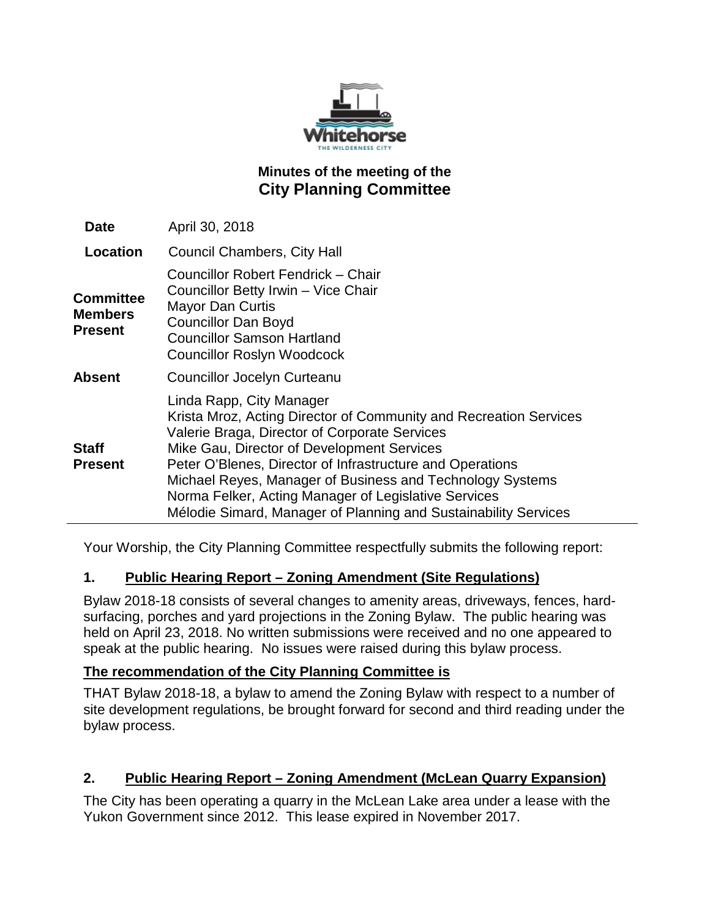

# **Minutes of the meeting of the City Planning Committee**

| <b>Date</b>                            | April 30, 2018                                                                                                                                                                                                                                                                                                                                                                                                                                    |
|----------------------------------------|---------------------------------------------------------------------------------------------------------------------------------------------------------------------------------------------------------------------------------------------------------------------------------------------------------------------------------------------------------------------------------------------------------------------------------------------------|
| <b>Location</b>                        | <b>Council Chambers, City Hall</b>                                                                                                                                                                                                                                                                                                                                                                                                                |
| Committee<br><b>Members</b><br>Present | Councillor Robert Fendrick - Chair<br>Councillor Betty Irwin - Vice Chair<br><b>Mayor Dan Curtis</b><br><b>Councillor Dan Boyd</b><br><b>Councillor Samson Hartland</b><br><b>Councillor Roslyn Woodcock</b>                                                                                                                                                                                                                                      |
| Absent                                 | Councillor Jocelyn Curteanu                                                                                                                                                                                                                                                                                                                                                                                                                       |
| Staff<br><b>Present</b>                | Linda Rapp, City Manager<br>Krista Mroz, Acting Director of Community and Recreation Services<br>Valerie Braga, Director of Corporate Services<br>Mike Gau, Director of Development Services<br>Peter O'Blenes, Director of Infrastructure and Operations<br>Michael Reyes, Manager of Business and Technology Systems<br>Norma Felker, Acting Manager of Legislative Services<br>Mélodie Simard, Manager of Planning and Sustainability Services |

Your Worship, the City Planning Committee respectfully submits the following report:

# **1. Public Hearing Report – Zoning Amendment (Site Regulations)**

Bylaw 2018-18 consists of several changes to amenity areas, driveways, fences, hardsurfacing, porches and yard projections in the Zoning Bylaw. The public hearing was held on April 23, 2018. No written submissions were received and no one appeared to speak at the public hearing. No issues were raised during this bylaw process.

### **The recommendation of the City Planning Committee is**

THAT Bylaw 2018-18, a bylaw to amend the Zoning Bylaw with respect to a number of site development regulations, be brought forward for second and third reading under the bylaw process.

### **2. Public Hearing Report – Zoning Amendment (McLean Quarry Expansion)**

The City has been operating a quarry in the McLean Lake area under a lease with the Yukon Government since 2012. This lease expired in November 2017.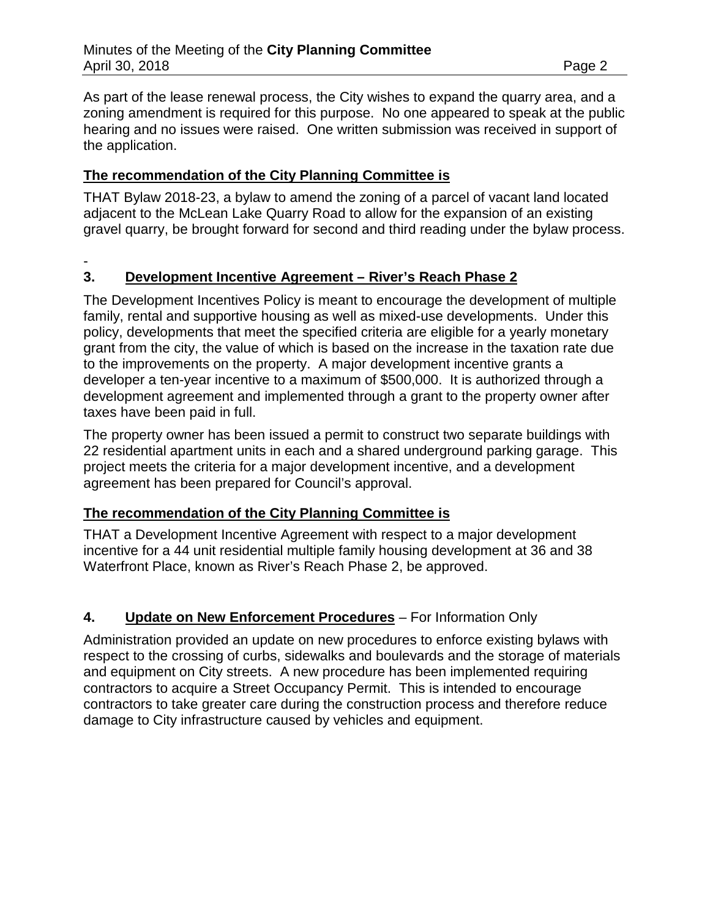As part of the lease renewal process, the City wishes to expand the quarry area, and a zoning amendment is required for this purpose. No one appeared to speak at the public hearing and no issues were raised. One written submission was received in support of the application.

## **The recommendation of the City Planning Committee is**

THAT Bylaw 2018-23, a bylaw to amend the zoning of a parcel of vacant land located adjacent to the McLean Lake Quarry Road to allow for the expansion of an existing gravel quarry, be brought forward for second and third reading under the bylaw process.

-

## **3. Development Incentive Agreement – River's Reach Phase 2**

The Development Incentives Policy is meant to encourage the development of multiple family, rental and supportive housing as well as mixed-use developments. Under this policy, developments that meet the specified criteria are eligible for a yearly monetary grant from the city, the value of which is based on the increase in the taxation rate due to the improvements on the property. A major development incentive grants a developer a ten-year incentive to a maximum of \$500,000. It is authorized through a development agreement and implemented through a grant to the property owner after taxes have been paid in full.

The property owner has been issued a permit to construct two separate buildings with 22 residential apartment units in each and a shared underground parking garage. This project meets the criteria for a major development incentive, and a development agreement has been prepared for Council's approval.

### **The recommendation of the City Planning Committee is**

THAT a Development Incentive Agreement with respect to a major development incentive for a 44 unit residential multiple family housing development at 36 and 38 Waterfront Place, known as River's Reach Phase 2, be approved.

# **4. Update on New Enforcement Procedures** – For Information Only

Administration provided an update on new procedures to enforce existing bylaws with respect to the crossing of curbs, sidewalks and boulevards and the storage of materials and equipment on City streets. A new procedure has been implemented requiring contractors to acquire a Street Occupancy Permit. This is intended to encourage contractors to take greater care during the construction process and therefore reduce damage to City infrastructure caused by vehicles and equipment.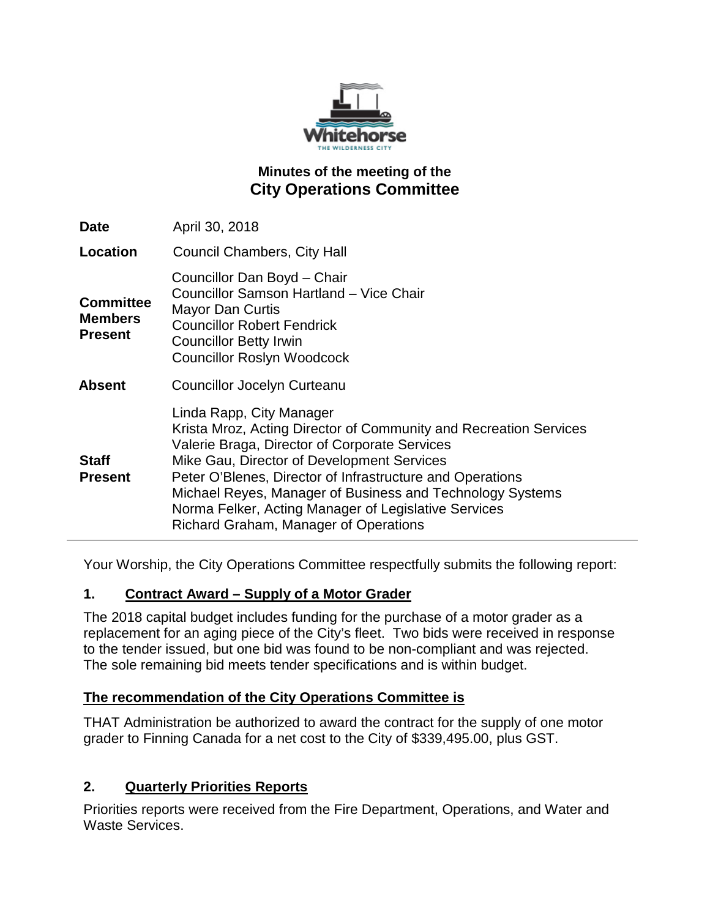

# **Minutes of the meeting of the City Operations Committee**

| <b>Date</b>                                          | April 30, 2018                                                                                                                                                                                                                                                                                                                                                                                                          |
|------------------------------------------------------|-------------------------------------------------------------------------------------------------------------------------------------------------------------------------------------------------------------------------------------------------------------------------------------------------------------------------------------------------------------------------------------------------------------------------|
| Location                                             | <b>Council Chambers, City Hall</b>                                                                                                                                                                                                                                                                                                                                                                                      |
| <b>Committee</b><br><b>Members</b><br><b>Present</b> | Councillor Dan Boyd - Chair<br>Councillor Samson Hartland - Vice Chair<br><b>Mayor Dan Curtis</b><br><b>Councillor Robert Fendrick</b><br><b>Councillor Betty Irwin</b><br><b>Councillor Roslyn Woodcock</b>                                                                                                                                                                                                            |
| <b>Absent</b>                                        | <b>Councillor Jocelyn Curteanu</b>                                                                                                                                                                                                                                                                                                                                                                                      |
| <b>Staff</b><br><b>Present</b>                       | Linda Rapp, City Manager<br>Krista Mroz, Acting Director of Community and Recreation Services<br>Valerie Braga, Director of Corporate Services<br>Mike Gau, Director of Development Services<br>Peter O'Blenes, Director of Infrastructure and Operations<br>Michael Reyes, Manager of Business and Technology Systems<br>Norma Felker, Acting Manager of Legislative Services<br>Richard Graham, Manager of Operations |

Your Worship, the City Operations Committee respectfully submits the following report:

### **1. Contract Award – Supply of a Motor Grader**

The 2018 capital budget includes funding for the purchase of a motor grader as a replacement for an aging piece of the City's fleet. Two bids were received in response to the tender issued, but one bid was found to be non-compliant and was rejected. The sole remaining bid meets tender specifications and is within budget.

### **The recommendation of the City Operations Committee is**

THAT Administration be authorized to award the contract for the supply of one motor grader to Finning Canada for a net cost to the City of \$339,495.00, plus GST.

### **2. Quarterly Priorities Reports**

Priorities reports were received from the Fire Department, Operations, and Water and Waste Services.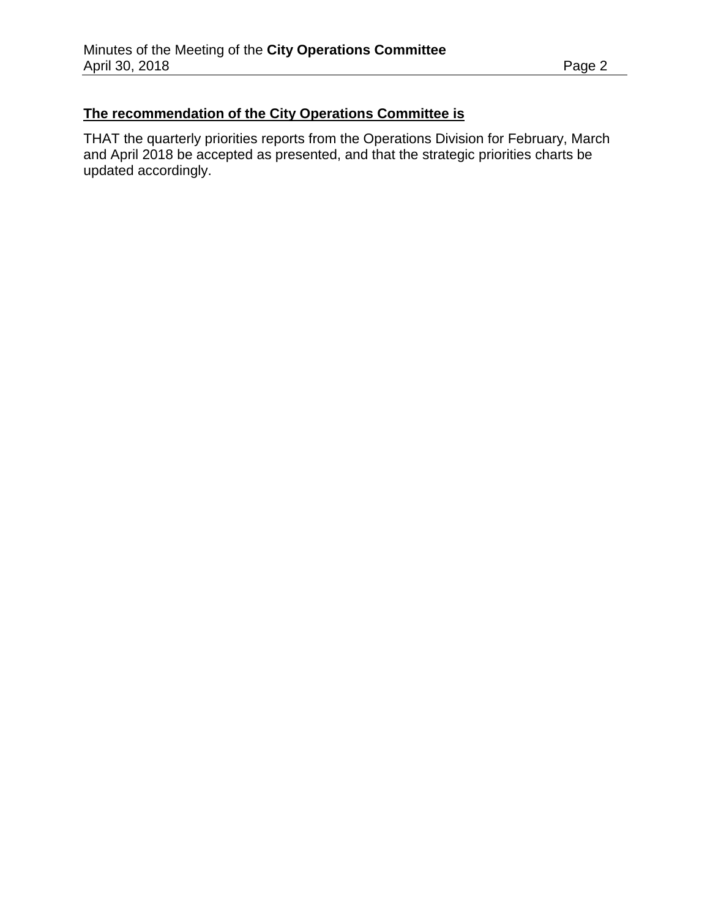## **The recommendation of the City Operations Committee is**

THAT the quarterly priorities reports from the Operations Division for February, March and April 2018 be accepted as presented, and that the strategic priorities charts be updated accordingly.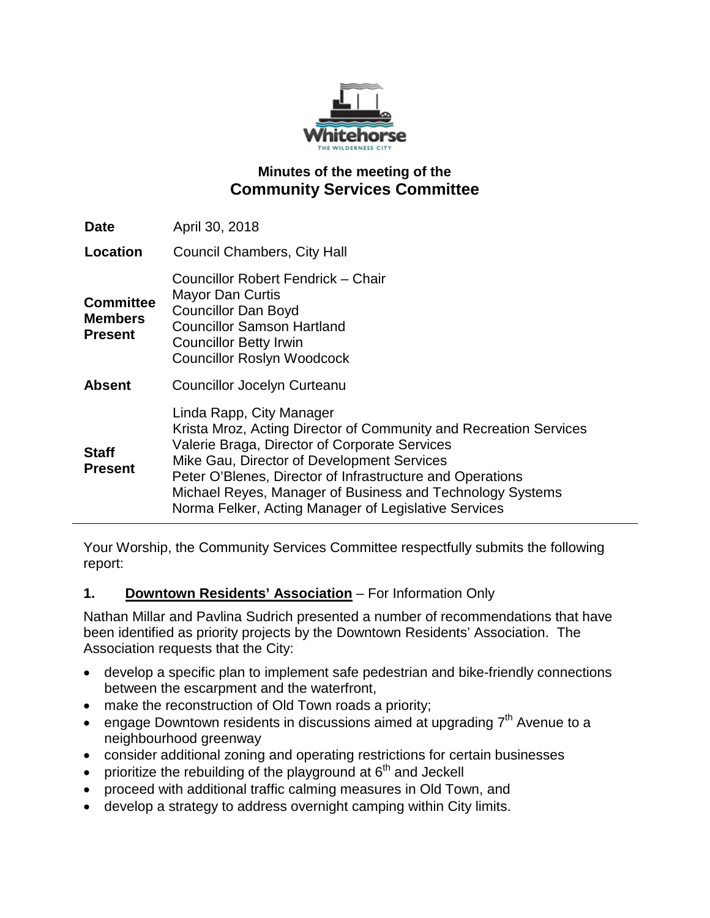

# **Minutes of the meeting of the Community Services Committee**

| Date                                                 | April 30, 2018                                                                                                                                                                                                                                                                                                                                                                 |
|------------------------------------------------------|--------------------------------------------------------------------------------------------------------------------------------------------------------------------------------------------------------------------------------------------------------------------------------------------------------------------------------------------------------------------------------|
| Location                                             | <b>Council Chambers, City Hall</b>                                                                                                                                                                                                                                                                                                                                             |
| <b>Committee</b><br><b>Members</b><br><b>Present</b> | Councillor Robert Fendrick – Chair<br>Mayor Dan Curtis<br><b>Councillor Dan Boyd</b><br><b>Councillor Samson Hartland</b><br><b>Councillor Betty Irwin</b><br><b>Councillor Roslyn Woodcock</b>                                                                                                                                                                                |
| <b>Absent</b>                                        | Councillor Jocelyn Curteanu                                                                                                                                                                                                                                                                                                                                                    |
| <b>Staff</b><br><b>Present</b>                       | Linda Rapp, City Manager<br>Krista Mroz, Acting Director of Community and Recreation Services<br>Valerie Braga, Director of Corporate Services<br>Mike Gau, Director of Development Services<br>Peter O'Blenes, Director of Infrastructure and Operations<br>Michael Reyes, Manager of Business and Technology Systems<br>Norma Felker, Acting Manager of Legislative Services |

Your Worship, the Community Services Committee respectfully submits the following report:

### **1. Downtown Residents' Association** – For Information Only

Nathan Millar and Pavlina Sudrich presented a number of recommendations that have been identified as priority projects by the Downtown Residents' Association. The Association requests that the City:

- develop a specific plan to implement safe pedestrian and bike-friendly connections between the escarpment and the waterfront,
- make the reconstruction of Old Town roads a priority;
- engage Downtown residents in discussions aimed at upgrading  $7<sup>th</sup>$  Avenue to a neighbourhood greenway
- consider additional zoning and operating restrictions for certain businesses
- prioritize the rebuilding of the playground at  $6<sup>th</sup>$  and Jeckell
- proceed with additional traffic calming measures in Old Town, and
- develop a strategy to address overnight camping within City limits.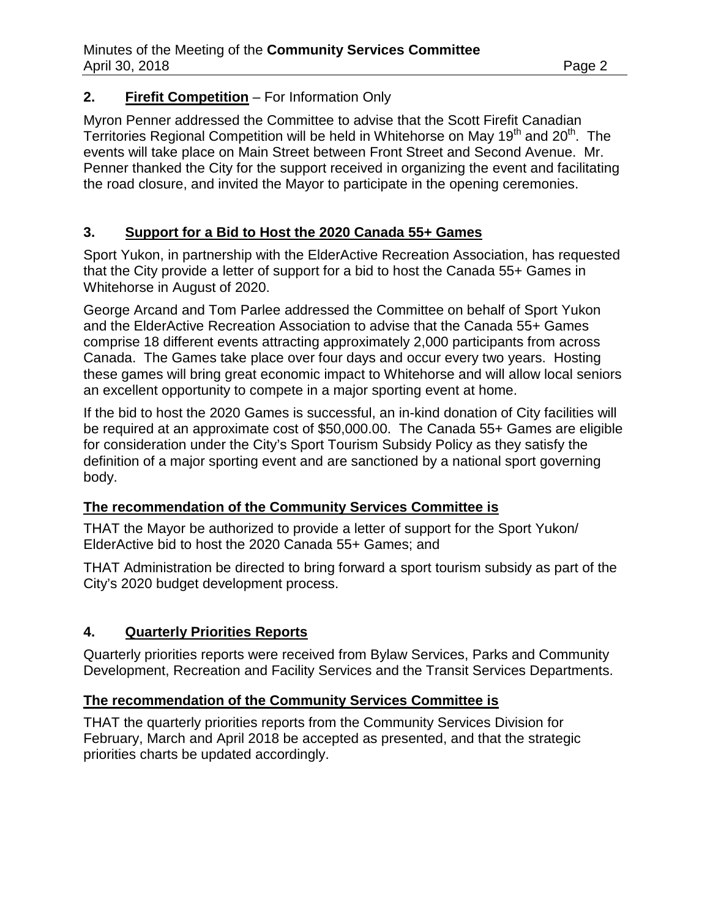### **2. Firefit Competition** – For Information Only

Myron Penner addressed the Committee to advise that the Scott Firefit Canadian Territories Regional Competition will be held in Whitehorse on May 19<sup>th</sup> and 20<sup>th</sup>. The events will take place on Main Street between Front Street and Second Avenue. Mr. Penner thanked the City for the support received in organizing the event and facilitating the road closure, and invited the Mayor to participate in the opening ceremonies.

### **3. Support for a Bid to Host the 2020 Canada 55+ Games**

Sport Yukon, in partnership with the ElderActive Recreation Association, has requested that the City provide a letter of support for a bid to host the Canada 55+ Games in Whitehorse in August of 2020.

George Arcand and Tom Parlee addressed the Committee on behalf of Sport Yukon and the ElderActive Recreation Association to advise that the Canada 55+ Games comprise 18 different events attracting approximately 2,000 participants from across Canada. The Games take place over four days and occur every two years. Hosting these games will bring great economic impact to Whitehorse and will allow local seniors an excellent opportunity to compete in a major sporting event at home.

If the bid to host the 2020 Games is successful, an in-kind donation of City facilities will be required at an approximate cost of \$50,000.00. The Canada 55+ Games are eligible for consideration under the City's Sport Tourism Subsidy Policy as they satisfy the definition of a major sporting event and are sanctioned by a national sport governing body.

### **The recommendation of the Community Services Committee is**

THAT the Mayor be authorized to provide a letter of support for the Sport Yukon/ ElderActive bid to host the 2020 Canada 55+ Games; and

THAT Administration be directed to bring forward a sport tourism subsidy as part of the City's 2020 budget development process.

### **4. Quarterly Priorities Reports**

Quarterly priorities reports were received from Bylaw Services, Parks and Community Development, Recreation and Facility Services and the Transit Services Departments.

### **The recommendation of the Community Services Committee is**

THAT the quarterly priorities reports from the Community Services Division for February, March and April 2018 be accepted as presented, and that the strategic priorities charts be updated accordingly.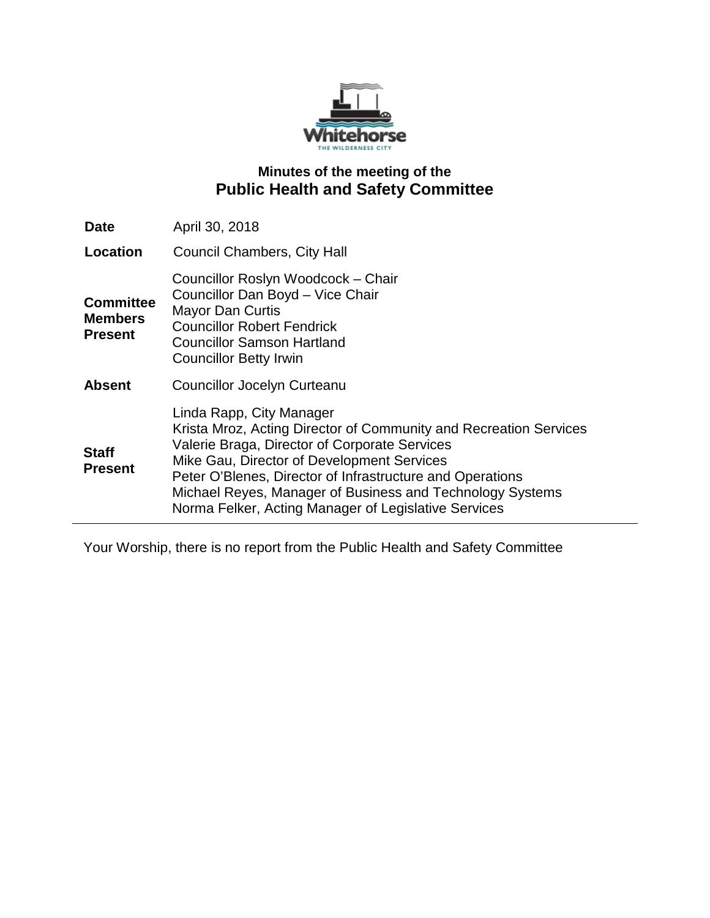

# **Minutes of the meeting of the Public Health and Safety Committee**

| <b>Date</b>                                          | April 30, 2018                                                                                                                                                                                                                                                                                                                                                                 |
|------------------------------------------------------|--------------------------------------------------------------------------------------------------------------------------------------------------------------------------------------------------------------------------------------------------------------------------------------------------------------------------------------------------------------------------------|
| Location                                             | <b>Council Chambers, City Hall</b>                                                                                                                                                                                                                                                                                                                                             |
| <b>Committee</b><br><b>Members</b><br><b>Present</b> | Councillor Roslyn Woodcock - Chair<br>Councillor Dan Boyd - Vice Chair<br><b>Mayor Dan Curtis</b><br><b>Councillor Robert Fendrick</b><br><b>Councillor Samson Hartland</b><br><b>Councillor Betty Irwin</b>                                                                                                                                                                   |
| <b>Absent</b>                                        | Councillor Jocelyn Curteanu                                                                                                                                                                                                                                                                                                                                                    |
| <b>Staff</b><br><b>Present</b>                       | Linda Rapp, City Manager<br>Krista Mroz, Acting Director of Community and Recreation Services<br>Valerie Braga, Director of Corporate Services<br>Mike Gau, Director of Development Services<br>Peter O'Blenes, Director of Infrastructure and Operations<br>Michael Reyes, Manager of Business and Technology Systems<br>Norma Felker, Acting Manager of Legislative Services |

Your Worship, there is no report from the Public Health and Safety Committee